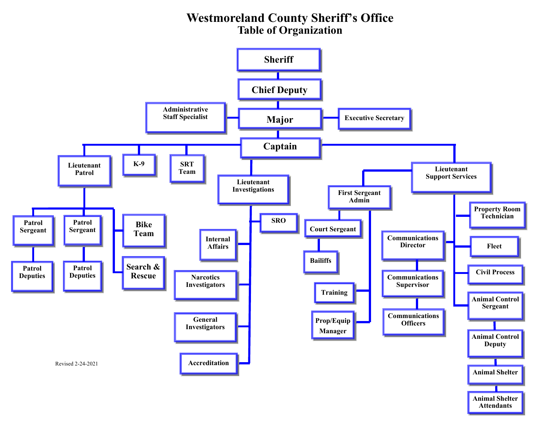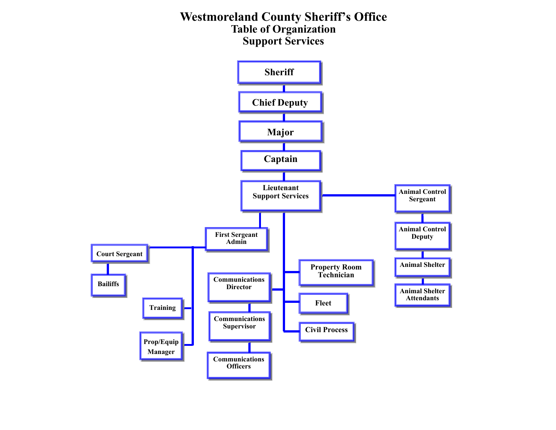# **Westmoreland County Sheriff's Office Table of Organization Support Services**

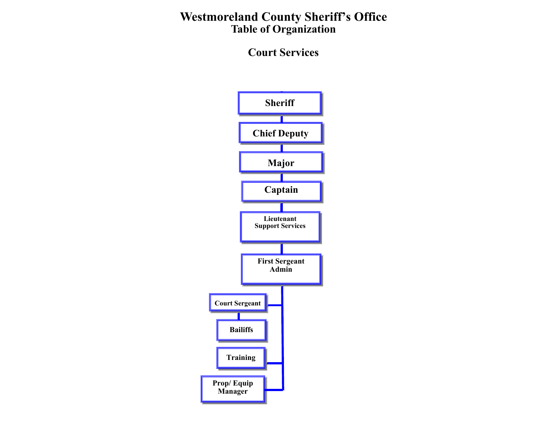**Court Services** 

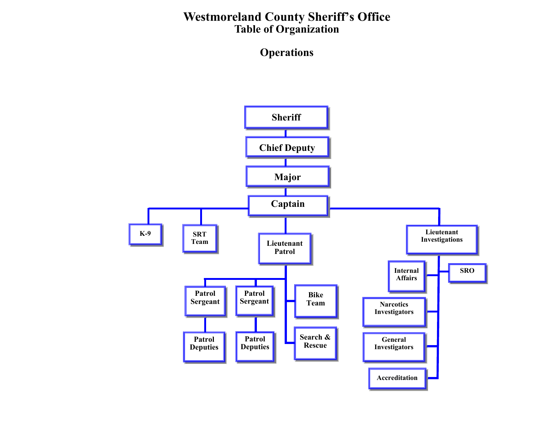**Operations** 

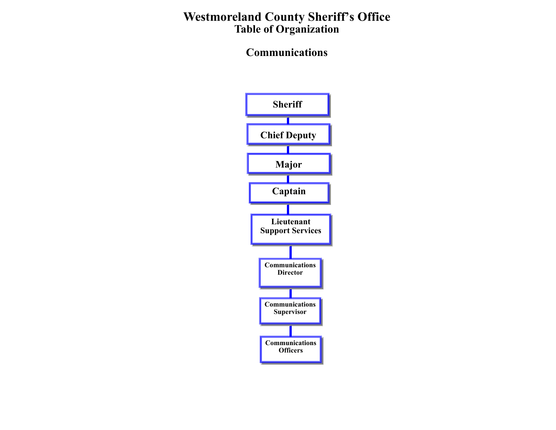# **Communications**